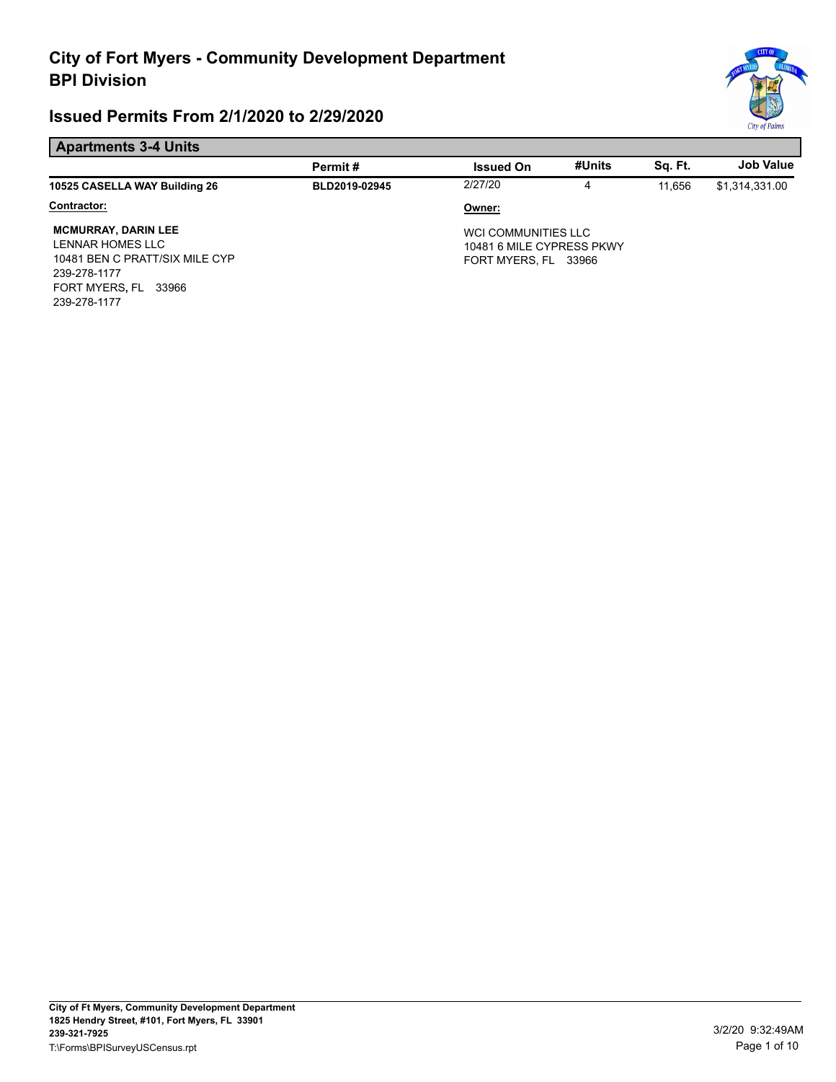#### **Apartments 3-4 Units**

|                                                                                                                                             | Permit#       | <b>Issued On</b>                                                         | #Units | Sq. Ft. | <b>Job Value</b> |
|---------------------------------------------------------------------------------------------------------------------------------------------|---------------|--------------------------------------------------------------------------|--------|---------|------------------|
| 10525 CASELLA WAY Building 26                                                                                                               | BLD2019-02945 | 2/27/20                                                                  | 4      | 11.656  | \$1,314,331.00   |
| <u> Contractor:</u>                                                                                                                         |               | Owner:                                                                   |        |         |                  |
| <b>MCMURRAY, DARIN LEE</b><br>LENNAR HOMES LLC<br>10481 BEN C PRATT/SIX MILE CYP<br>239-278-1177<br>FORT MYERS, FL<br>33966<br>239-278-1177 |               | WCI COMMUNITIES LLC<br>10481 6 MILE CYPRESS PKWY<br>FORT MYERS. FL 33966 |        |         |                  |

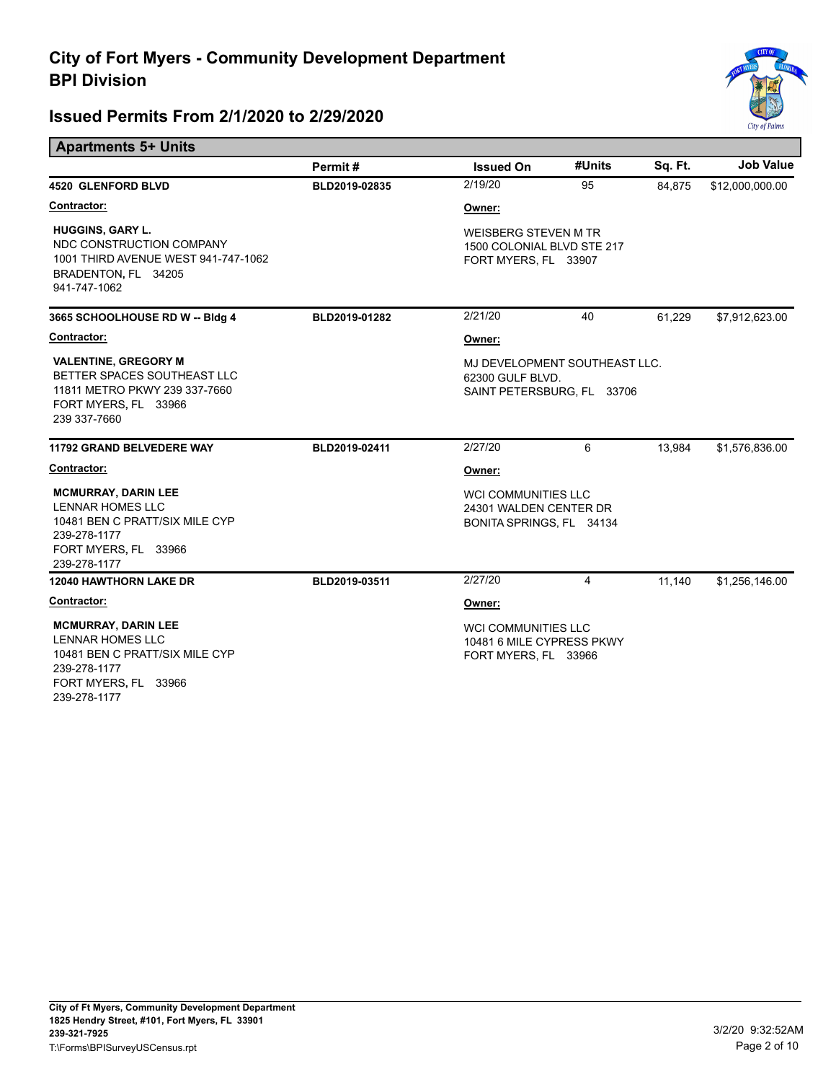

| <b>Apartments 5+ Units</b>                                                                                                                      |               |                                                                                   |        |         |                  |
|-------------------------------------------------------------------------------------------------------------------------------------------------|---------------|-----------------------------------------------------------------------------------|--------|---------|------------------|
|                                                                                                                                                 | Permit#       | <b>Issued On</b>                                                                  | #Units | Sq. Ft. | <b>Job Value</b> |
| <b>4520 GLENFORD BLVD</b>                                                                                                                       | BLD2019-02835 | 2/19/20                                                                           | 95     | 84.875  | \$12,000,000.00  |
| Contractor:                                                                                                                                     |               | Owner:                                                                            |        |         |                  |
| <b>HUGGINS, GARY L.</b><br>NDC CONSTRUCTION COMPANY<br>1001 THIRD AVENUE WEST 941-747-1062<br>BRADENTON, FL 34205<br>941-747-1062               |               | <b>WEISBERG STEVEN M TR</b><br>1500 COLONIAL BLVD STE 217<br>FORT MYERS, FL 33907 |        |         |                  |
| 3665 SCHOOLHOUSE RD W -- Bldg 4                                                                                                                 | BLD2019-01282 | 2/21/20                                                                           | 40     | 61,229  | \$7,912,623.00   |
| Contractor:                                                                                                                                     |               | Owner:                                                                            |        |         |                  |
| <b>VALENTINE, GREGORY M</b><br>BETTER SPACES SOUTHEAST LLC<br>11811 METRO PKWY 239 337-7660<br>FORT MYERS, FL 33966<br>239 337-7660             |               | MJ DEVELOPMENT SOUTHEAST LLC.<br>62300 GULF BLVD.<br>SAINT PETERSBURG, FL 33706   |        |         |                  |
| <b>11792 GRAND BELVEDERE WAY</b>                                                                                                                | BLD2019-02411 | 2/27/20                                                                           | 6      | 13,984  | \$1,576,836.00   |
| Contractor:                                                                                                                                     |               | Owner:                                                                            |        |         |                  |
| <b>MCMURRAY, DARIN LEE</b><br><b>LENNAR HOMES LLC</b><br>10481 BEN C PRATT/SIX MILE CYP<br>239-278-1177<br>FORT MYERS, FL 33966<br>239-278-1177 |               | <b>WCI COMMUNITIES LLC</b><br>24301 WALDEN CENTER DR<br>BONITA SPRINGS, FL 34134  |        |         |                  |
| <b>12040 HAWTHORN LAKE DR</b>                                                                                                                   | BLD2019-03511 | 2/27/20                                                                           | 4      | 11,140  | \$1,256,146.00   |
| Contractor:                                                                                                                                     |               | Owner:                                                                            |        |         |                  |
| <b>MCMURRAY, DARIN LEE</b><br><b>LENNAR HOMES LLC</b><br>10481 BEN C PRATT/SIX MILE CYP<br>239-278-1177<br>FORT MYERS, FL 33966<br>239-278-1177 |               | <b>WCI COMMUNITIES LLC</b><br>10481 6 MILE CYPRESS PKWY<br>FORT MYERS, FL 33966   |        |         |                  |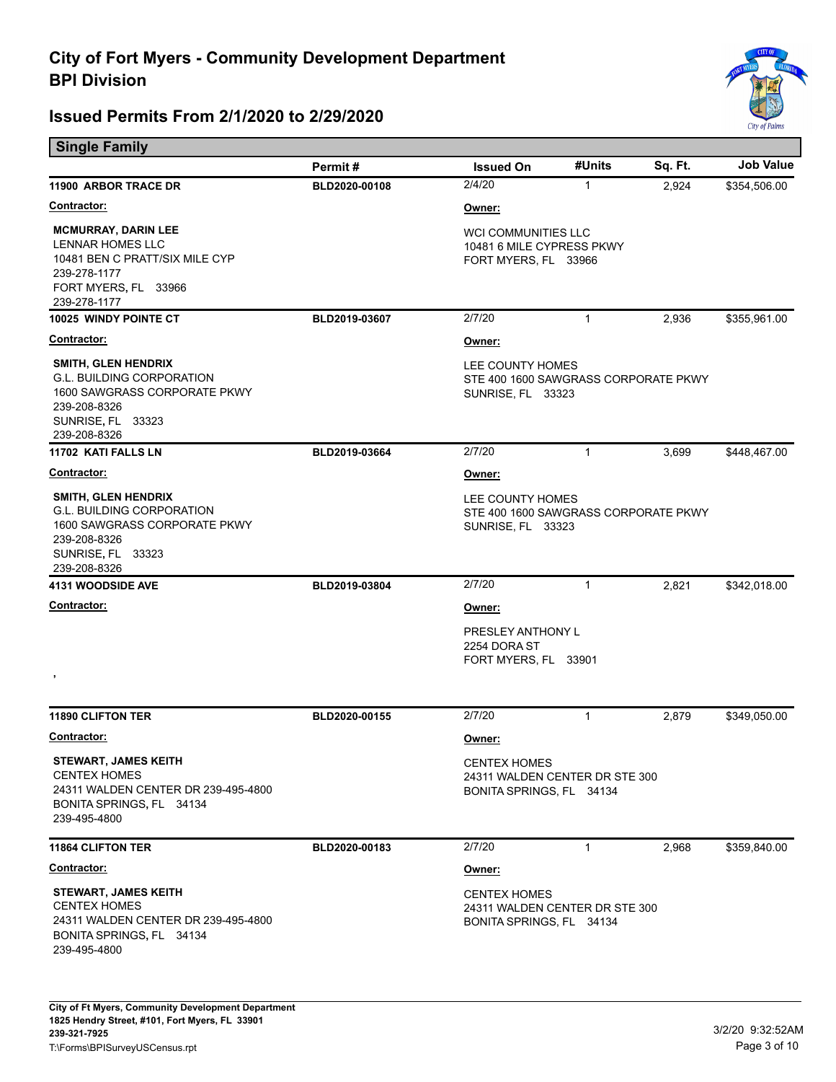

| <b>Single Family</b>                                                                                                                                        |               |                                                                                             |              |         |                  |
|-------------------------------------------------------------------------------------------------------------------------------------------------------------|---------------|---------------------------------------------------------------------------------------------|--------------|---------|------------------|
|                                                                                                                                                             | Permit#       | <b>Issued On</b>                                                                            | #Units       | Sq. Ft. | <b>Job Value</b> |
| 11900 ARBOR TRACE DR                                                                                                                                        | BLD2020-00108 | 2/4/20                                                                                      | $\mathbf{1}$ | 2,924   | \$354,506.00     |
| Contractor:                                                                                                                                                 |               | Owner:                                                                                      |              |         |                  |
| <b>MCMURRAY, DARIN LEE</b><br><b>LENNAR HOMES LLC</b><br>10481 BEN C PRATT/SIX MILE CYP<br>239-278-1177<br>FORT MYERS, FL 33966<br>239-278-1177             |               | <b>WCI COMMUNITIES LLC</b><br>10481 6 MILE CYPRESS PKWY<br>FORT MYERS, FL 33966             |              |         |                  |
| 10025 WINDY POINTE CT                                                                                                                                       | BLD2019-03607 | 2/7/20                                                                                      | $\mathbf{1}$ | 2,936   | \$355,961.00     |
| Contractor:                                                                                                                                                 |               | Owner:                                                                                      |              |         |                  |
| SMITH, GLEN HENDRIX<br><b>G.L. BUILDING CORPORATION</b><br>1600 SAWGRASS CORPORATE PKWY<br>239-208-8326<br>SUNRISE, FL 33323<br>239-208-8326                |               | LEE COUNTY HOMES<br>STE 400 1600 SAWGRASS CORPORATE PKWY<br><b>SUNRISE, FL 33323</b>        |              |         |                  |
| 11702 KATI FALLS LN                                                                                                                                         | BLD2019-03664 | 2/7/20                                                                                      | $\mathbf{1}$ | 3,699   | \$448,467.00     |
| <b>Contractor:</b>                                                                                                                                          |               | Owner:                                                                                      |              |         |                  |
| <b>SMITH, GLEN HENDRIX</b><br><b>G.L. BUILDING CORPORATION</b><br>1600 SAWGRASS CORPORATE PKWY<br>239-208-8326<br>SUNRISE, FL 33323                         |               | LEE COUNTY HOMES<br>STE 400 1600 SAWGRASS CORPORATE PKWY<br><b>SUNRISE, FL 33323</b>        |              |         |                  |
| 239-208-8326<br><b>4131 WOODSIDE AVE</b>                                                                                                                    | BLD2019-03804 | 2/7/20                                                                                      | $\mathbf{1}$ | 2,821   | \$342,018.00     |
| <b>Contractor:</b>                                                                                                                                          |               |                                                                                             |              |         |                  |
| $\,$                                                                                                                                                        |               | Owner:<br>PRESLEY ANTHONY L<br>2254 DORA ST<br>FORT MYERS, FL 33901                         |              |         |                  |
|                                                                                                                                                             |               | 2/7/20                                                                                      |              |         |                  |
| <b>11890 CLIFTON TER</b>                                                                                                                                    | BLD2020-00155 |                                                                                             | $\mathbf{1}$ | 2,879   | \$349,050.00     |
| <b>Contractor:</b><br><b>STEWART, JAMES KEITH</b><br><b>CENTEX HOMES</b><br>24311 WALDEN CENTER DR 239-495-4800<br>BONITA SPRINGS, FL 34134<br>239-495-4800 |               | Owner:<br><b>CENTEX HOMES</b><br>24311 WALDEN CENTER DR STE 300<br>BONITA SPRINGS, FL 34134 |              |         |                  |
| <b>11864 CLIFTON TER</b>                                                                                                                                    | BLD2020-00183 | 2/7/20                                                                                      | 1            | 2,968   | \$359,840.00     |
| <b>Contractor:</b>                                                                                                                                          |               | Owner:                                                                                      |              |         |                  |
| <b>STEWART, JAMES KEITH</b><br><b>CENTEX HOMES</b><br>24311 WALDEN CENTER DR 239-495-4800<br>BONITA SPRINGS, FL 34134<br>239-495-4800                       |               | <b>CENTEX HOMES</b><br>24311 WALDEN CENTER DR STE 300<br>BONITA SPRINGS, FL 34134           |              |         |                  |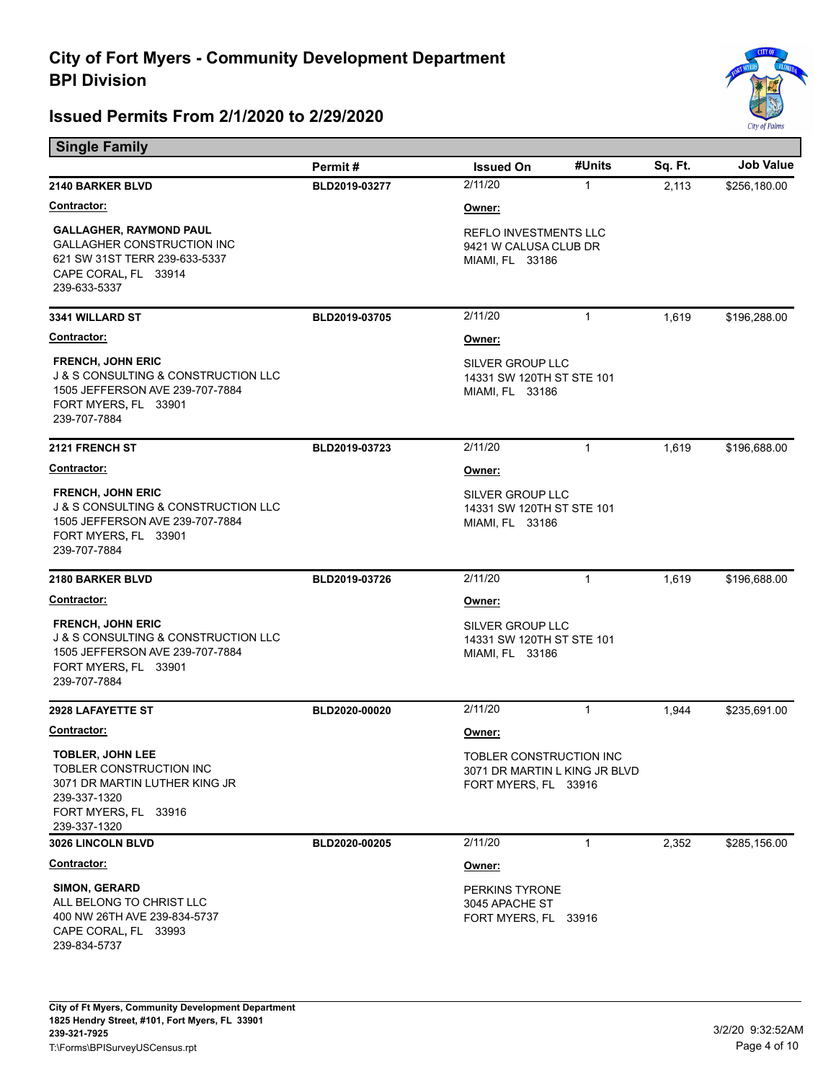

| <b>Single Family</b>                                                                                                                                      |               |                                                                                  |              |         |                  |  |
|-----------------------------------------------------------------------------------------------------------------------------------------------------------|---------------|----------------------------------------------------------------------------------|--------------|---------|------------------|--|
|                                                                                                                                                           | Permit#       | <b>Issued On</b>                                                                 | #Units       | Sq. Ft. | <b>Job Value</b> |  |
| <b>2140 BARKER BLVD</b>                                                                                                                                   | BLD2019-03277 | 2/11/20                                                                          | $\mathbf{1}$ | 2,113   | \$256,180.00     |  |
| Contractor:                                                                                                                                               |               | Owner:                                                                           |              |         |                  |  |
| <b>GALLAGHER, RAYMOND PAUL</b><br>GALLAGHER CONSTRUCTION INC<br>621 SW 31ST TERR 239-633-5337<br>CAPE CORAL, FL 33914<br>239-633-5337                     |               | <b>REFLO INVESTMENTS LLC</b><br>9421 W CALUSA CLUB DR<br>MIAMI, FL 33186         |              |         |                  |  |
| 3341 WILLARD ST                                                                                                                                           | BLD2019-03705 | 2/11/20                                                                          | $\mathbf{1}$ | 1,619   | \$196,288.00     |  |
| Contractor:                                                                                                                                               |               | Owner:                                                                           |              |         |                  |  |
| <b>FRENCH, JOHN ERIC</b><br><b>J &amp; S CONSULTING &amp; CONSTRUCTION LLC</b><br>1505 JEFFERSON AVE 239-707-7884<br>FORT MYERS, FL 33901<br>239-707-7884 |               | SILVER GROUP LLC<br>14331 SW 120TH ST STE 101<br>MIAMI, FL 33186                 |              |         |                  |  |
| 2121 FRENCH ST                                                                                                                                            | BLD2019-03723 | 2/11/20                                                                          | $\mathbf{1}$ | 1,619   | \$196,688.00     |  |
| Contractor:                                                                                                                                               |               | Owner:                                                                           |              |         |                  |  |
| <b>FRENCH, JOHN ERIC</b><br><b>J &amp; S CONSULTING &amp; CONSTRUCTION LLC</b><br>1505 JEFFERSON AVE 239-707-7884<br>FORT MYERS, FL 33901<br>239-707-7884 |               | SILVER GROUP LLC<br>14331 SW 120TH ST STE 101<br>MIAMI, FL 33186                 |              |         |                  |  |
| <b>2180 BARKER BLVD</b>                                                                                                                                   | BLD2019-03726 | 2/11/20                                                                          | $\mathbf{1}$ | 1,619   | \$196,688.00     |  |
| Contractor:                                                                                                                                               |               | Owner:                                                                           |              |         |                  |  |
| <b>FRENCH, JOHN ERIC</b><br><b>J &amp; S CONSULTING &amp; CONSTRUCTION LLC</b><br>1505 JEFFERSON AVE 239-707-7884<br>FORT MYERS, FL 33901<br>239-707-7884 |               | SILVER GROUP LLC<br>14331 SW 120TH ST STE 101<br>MIAMI, FL 33186                 |              |         |                  |  |
| 2928 LAFAYETTE ST                                                                                                                                         | BLD2020-00020 | 2/11/20                                                                          | $\mathbf{1}$ | 1,944   | \$235,691.00     |  |
| Contractor:                                                                                                                                               |               | Owner:                                                                           |              |         |                  |  |
| <b>TOBLER, JOHN LEE</b><br>TOBLER CONSTRUCTION INC<br>3071 DR MARTIN LUTHER KING JR<br>239-337-1320<br>FORT MYERS, FL 33916<br>239-337-1320               |               | TOBLER CONSTRUCTION INC<br>3071 DR MARTIN L KING JR BLVD<br>FORT MYERS, FL 33916 |              |         |                  |  |
| 3026 LINCOLN BLVD                                                                                                                                         | BLD2020-00205 | 2/11/20                                                                          | $\mathbf{1}$ | 2,352   | \$285,156.00     |  |
| <b>Contractor:</b>                                                                                                                                        |               | Owner:                                                                           |              |         |                  |  |
| <b>SIMON, GERARD</b><br>ALL BELONG TO CHRIST LLC<br>400 NW 26TH AVE 239-834-5737<br>CAPE CORAL, FL 33993<br>239-834-5737                                  |               | PERKINS TYRONE<br>3045 APACHE ST<br>FORT MYERS, FL 33916                         |              |         |                  |  |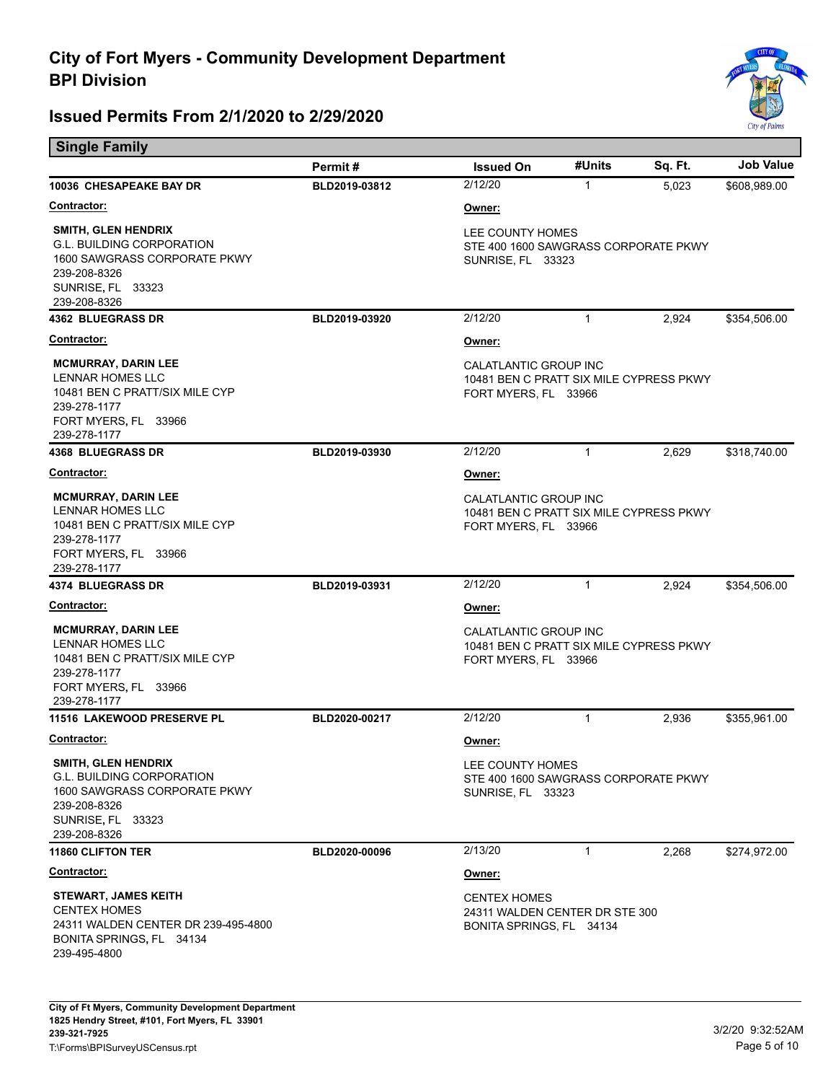

| <b>Single Family</b>                                                                                                                                |               |                                                                                          |              |         |                  |  |
|-----------------------------------------------------------------------------------------------------------------------------------------------------|---------------|------------------------------------------------------------------------------------------|--------------|---------|------------------|--|
|                                                                                                                                                     | Permit#       | <b>Issued On</b>                                                                         | #Units       | Sq. Ft. | <b>Job Value</b> |  |
| 10036 CHESAPEAKE BAY DR                                                                                                                             | BLD2019-03812 | 2/12/20                                                                                  | $\mathbf{1}$ | 5,023   | \$608,989.00     |  |
| <b>Contractor:</b>                                                                                                                                  |               | Owner:                                                                                   |              |         |                  |  |
| <b>SMITH, GLEN HENDRIX</b><br><b>G.L. BUILDING CORPORATION</b><br>1600 SAWGRASS CORPORATE PKWY<br>239-208-8326<br>SUNRISE, FL 33323<br>239-208-8326 |               | LEE COUNTY HOMES<br>STE 400 1600 SAWGRASS CORPORATE PKWY<br><b>SUNRISE, FL 33323</b>     |              |         |                  |  |
| <b>4362 BLUEGRASS DR</b>                                                                                                                            | BLD2019-03920 | 2/12/20                                                                                  | $\mathbf{1}$ | 2,924   | \$354,506.00     |  |
| Contractor:                                                                                                                                         |               | Owner:                                                                                   |              |         |                  |  |
| <b>MCMURRAY, DARIN LEE</b><br><b>LENNAR HOMES LLC</b><br>10481 BEN C PRATT/SIX MILE CYP<br>239-278-1177<br>FORT MYERS, FL 33966<br>239-278-1177     |               | CALATLANTIC GROUP INC<br>10481 BEN C PRATT SIX MILE CYPRESS PKWY<br>FORT MYERS, FL 33966 |              |         |                  |  |
| <b>4368 BLUEGRASS DR</b>                                                                                                                            | BLD2019-03930 | 2/12/20                                                                                  | $\mathbf{1}$ | 2,629   | \$318,740.00     |  |
| <b>Contractor:</b>                                                                                                                                  |               | Owner:                                                                                   |              |         |                  |  |
| <b>MCMURRAY, DARIN LEE</b><br>LENNAR HOMES LLC<br>10481 BEN C PRATT/SIX MILE CYP<br>239-278-1177<br>FORT MYERS, FL 33966<br>239-278-1177            |               | CALATLANTIC GROUP INC<br>10481 BEN C PRATT SIX MILE CYPRESS PKWY<br>FORT MYERS, FL 33966 |              |         |                  |  |
| <b>4374 BLUEGRASS DR</b>                                                                                                                            | BLD2019-03931 | 2/12/20                                                                                  | 1            | 2,924   | \$354,506.00     |  |
| <b>Contractor:</b>                                                                                                                                  |               | Owner:                                                                                   |              |         |                  |  |
| <b>MCMURRAY, DARIN LEE</b><br><b>LENNAR HOMES LLC</b><br>10481 BEN C PRATT/SIX MILE CYP<br>239-278-1177<br>FORT MYERS, FL 33966<br>239-278-1177     |               | CALATLANTIC GROUP INC<br>10481 BEN C PRATT SIX MILE CYPRESS PKWY<br>FORT MYERS, FL 33966 |              |         |                  |  |
| 11516 LAKEWOOD PRESERVE PL                                                                                                                          | BLD2020-00217 | 2/12/20                                                                                  | $\mathbf 1$  | 2,936   | \$355,961.00     |  |
| Contractor:                                                                                                                                         |               | Owner:                                                                                   |              |         |                  |  |
| <b>SMITH, GLEN HENDRIX</b><br><b>G.L. BUILDING CORPORATION</b><br>1600 SAWGRASS CORPORATE PKWY<br>239-208-8326<br>SUNRISE, FL 33323<br>239-208-8326 |               | LEE COUNTY HOMES<br>STE 400 1600 SAWGRASS CORPORATE PKWY<br><b>SUNRISE, FL 33323</b>     |              |         |                  |  |
| <b>11860 CLIFTON TER</b>                                                                                                                            | BLD2020-00096 | 2/13/20                                                                                  | $\mathbf{1}$ | 2,268   | \$274,972.00     |  |
| <b>Contractor:</b>                                                                                                                                  |               | Owner:                                                                                   |              |         |                  |  |
| <b>STEWART, JAMES KEITH</b><br><b>CENTEX HOMES</b><br>24311 WALDEN CENTER DR 239-495-4800<br>BONITA SPRINGS, FL 34134<br>239-495-4800               |               | <b>CENTEX HOMES</b><br>24311 WALDEN CENTER DR STE 300<br>BONITA SPRINGS, FL 34134        |              |         |                  |  |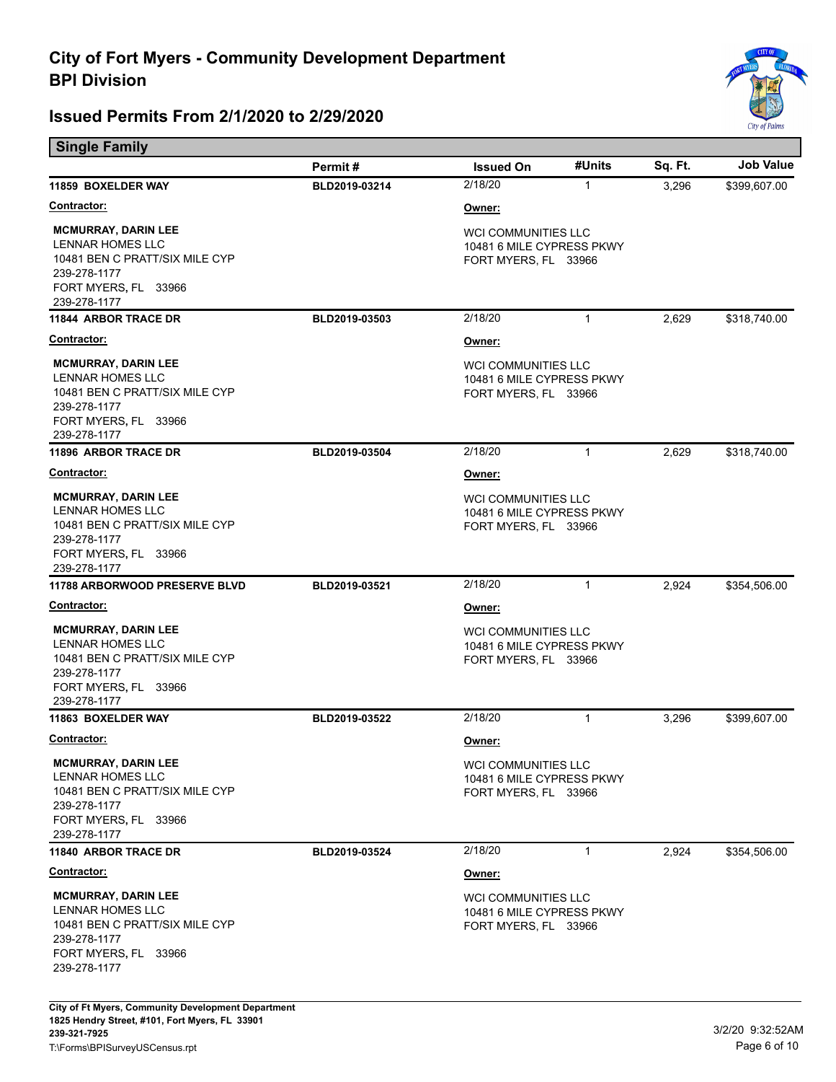

| <b>Single Family</b>                                                                                                                            |               |                                                                                 |              |         |                  |
|-------------------------------------------------------------------------------------------------------------------------------------------------|---------------|---------------------------------------------------------------------------------|--------------|---------|------------------|
|                                                                                                                                                 | Permit#       | <b>Issued On</b>                                                                | #Units       | Sq. Ft. | <b>Job Value</b> |
| 11859 BOXELDER WAY                                                                                                                              | BLD2019-03214 | 2/18/20                                                                         | $\mathbf 1$  | 3,296   | \$399,607.00     |
| <b>Contractor:</b>                                                                                                                              |               | Owner:                                                                          |              |         |                  |
| <b>MCMURRAY, DARIN LEE</b><br>LENNAR HOMES LLC<br>10481 BEN C PRATT/SIX MILE CYP<br>239-278-1177<br>FORT MYERS, FL 33966<br>239-278-1177        |               | WCI COMMUNITIES LLC<br>10481 6 MILE CYPRESS PKWY<br>FORT MYERS, FL 33966        |              |         |                  |
| 11844 ARBOR TRACE DR                                                                                                                            | BLD2019-03503 | 2/18/20                                                                         | $\mathbf{1}$ | 2,629   | \$318,740.00     |
| <b>Contractor:</b>                                                                                                                              |               | Owner:                                                                          |              |         |                  |
| <b>MCMURRAY, DARIN LEE</b><br>LENNAR HOMES LLC<br>10481 BEN C PRATT/SIX MILE CYP<br>239-278-1177<br>FORT MYERS, FL 33966<br>239-278-1177        |               | <b>WCI COMMUNITIES LLC</b><br>10481 6 MILE CYPRESS PKWY<br>FORT MYERS, FL 33966 |              |         |                  |
| 11896 ARBOR TRACE DR                                                                                                                            | BLD2019-03504 | 2/18/20                                                                         | $\mathbf{1}$ | 2,629   | \$318,740.00     |
| <u>Contractor:</u>                                                                                                                              |               | Owner:                                                                          |              |         |                  |
| <b>MCMURRAY, DARIN LEE</b><br><b>LENNAR HOMES LLC</b><br>10481 BEN C PRATT/SIX MILE CYP<br>239-278-1177<br>FORT MYERS, FL 33966<br>239-278-1177 |               | WCI COMMUNITIES LLC<br>10481 6 MILE CYPRESS PKWY<br>FORT MYERS, FL 33966        |              |         |                  |
| <b>11788 ARBORWOOD PRESERVE BLVD</b>                                                                                                            | BLD2019-03521 | 2/18/20                                                                         | $\mathbf{1}$ | 2,924   | \$354,506.00     |
| <u>Contractor:</u>                                                                                                                              |               | Owner:                                                                          |              |         |                  |
| <b>MCMURRAY, DARIN LEE</b><br>LENNAR HOMES LLC<br>10481 BEN C PRATT/SIX MILE CYP<br>239-278-1177<br>FORT MYERS, FL 33966<br>239-278-1177        |               | <b>WCI COMMUNITIES LLC</b><br>10481 6 MILE CYPRESS PKWY<br>FORT MYERS, FL 33966 |              |         |                  |
| 11863 BOXELDER WAY                                                                                                                              | BLD2019-03522 | 2/18/20                                                                         | 1            | 3,296   | \$399,607.00     |
| <b>Contractor:</b>                                                                                                                              |               | Owner:                                                                          |              |         |                  |
| <b>MCMURRAY, DARIN LEE</b><br>LENNAR HOMES LLC<br>10481 BEN C PRATT/SIX MILE CYP<br>239-278-1177<br>FORT MYERS, FL 33966<br>239-278-1177        |               | WCI COMMUNITIES LLC<br>10481 6 MILE CYPRESS PKWY<br>FORT MYERS, FL 33966        |              |         |                  |
| 11840 ARBOR TRACE DR                                                                                                                            | BLD2019-03524 | 2/18/20                                                                         | 1            | 2,924   | \$354,506.00     |
| Contractor:                                                                                                                                     |               | Owner:                                                                          |              |         |                  |
| <b>MCMURRAY, DARIN LEE</b><br>LENNAR HOMES LLC<br>10481 BEN C PRATT/SIX MILE CYP<br>239-278-1177<br>FORT MYERS, FL 33966<br>239-278-1177        |               | WCI COMMUNITIES LLC<br>10481 6 MILE CYPRESS PKWY<br>FORT MYERS, FL 33966        |              |         |                  |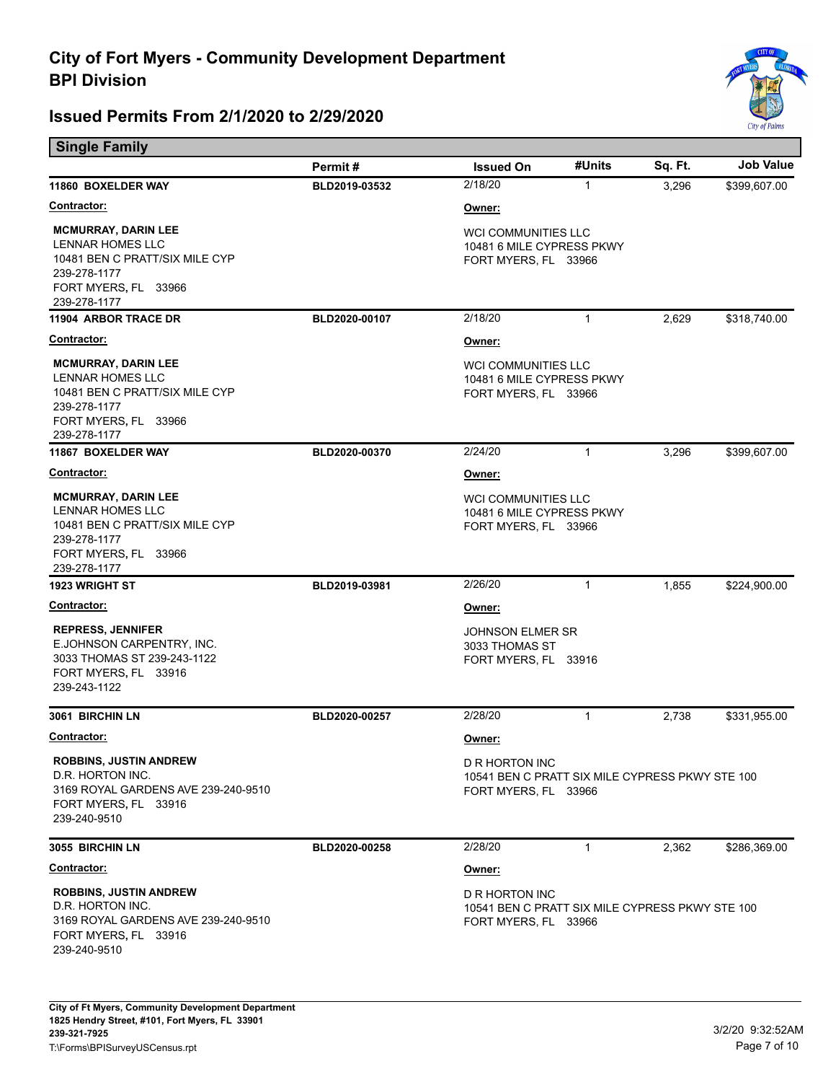**Single Family** 



|                                                                                                                                                 | Permit#       | <b>Issued On</b>                                                                                 | #Units       | Sq. Ft. | Job Value    |
|-------------------------------------------------------------------------------------------------------------------------------------------------|---------------|--------------------------------------------------------------------------------------------------|--------------|---------|--------------|
| 11860 BOXELDER WAY                                                                                                                              | BLD2019-03532 | 2/18/20                                                                                          | $\mathbf{1}$ | 3,296   | \$399,607.00 |
| <b>Contractor:</b>                                                                                                                              |               | Owner:                                                                                           |              |         |              |
| <b>MCMURRAY, DARIN LEE</b><br><b>LENNAR HOMES LLC</b><br>10481 BEN C PRATT/SIX MILE CYP<br>239-278-1177<br>FORT MYERS, FL 33966<br>239-278-1177 |               | <b>WCI COMMUNITIES LLC</b><br>10481 6 MILE CYPRESS PKWY<br>FORT MYERS, FL 33966                  |              |         |              |
| 11904 ARBOR TRACE DR                                                                                                                            | BLD2020-00107 | 2/18/20                                                                                          | $\mathbf{1}$ | 2,629   | \$318,740.00 |
| Contractor:                                                                                                                                     |               | Owner:                                                                                           |              |         |              |
| <b>MCMURRAY, DARIN LEE</b><br>LENNAR HOMES LLC<br>10481 BEN C PRATT/SIX MILE CYP<br>239-278-1177<br>FORT MYERS, FL 33966<br>239-278-1177        |               | <b>WCI COMMUNITIES LLC</b><br>10481 6 MILE CYPRESS PKWY<br>FORT MYERS, FL 33966                  |              |         |              |
| 11867 BOXELDER WAY                                                                                                                              | BLD2020-00370 | 2/24/20                                                                                          | $\mathbf{1}$ | 3,296   | \$399,607.00 |
| <b>Contractor:</b>                                                                                                                              |               | Owner:                                                                                           |              |         |              |
| <b>MCMURRAY, DARIN LEE</b><br>LENNAR HOMES LLC<br>10481 BEN C PRATT/SIX MILE CYP<br>239-278-1177<br>FORT MYERS, FL 33966<br>239-278-1177        |               | <b>WCI COMMUNITIES LLC</b><br>10481 6 MILE CYPRESS PKWY<br>FORT MYERS, FL 33966                  |              |         |              |
| <b>1923 WRIGHT ST</b>                                                                                                                           | BLD2019-03981 | 2/26/20                                                                                          | $\mathbf{1}$ | 1,855   | \$224,900.00 |
| <b>Contractor:</b>                                                                                                                              |               | Owner:                                                                                           |              |         |              |
| <b>REPRESS, JENNIFER</b><br>E.JOHNSON CARPENTRY, INC.<br>3033 THOMAS ST 239-243-1122<br>FORT MYERS, FL 33916<br>239-243-1122                    |               | <b>JOHNSON ELMER SR</b><br>3033 THOMAS ST<br>FORT MYERS, FL 33916                                |              |         |              |
| 3061 BIRCHIN LN                                                                                                                                 | BLD2020-00257 | 2/28/20                                                                                          | $\mathbf{1}$ | 2,738   | \$331,955.00 |
| Contractor:                                                                                                                                     |               | <u>Owner:</u>                                                                                    |              |         |              |
| <b>ROBBINS, JUSTIN ANDREW</b><br>D.R. HORTON INC.<br>3169 ROYAL GARDENS AVE 239-240-9510<br>FORT MYERS, FL 33916<br>239-240-9510                |               | <b>D R HORTON INC</b><br>10541 BEN C PRATT SIX MILE CYPRESS PKWY STE 100<br>FORT MYERS, FL 33966 |              |         |              |
| 3055 BIRCHIN LN                                                                                                                                 | BLD2020-00258 | 2/28/20                                                                                          | $\mathbf{1}$ | 2,362   | \$286,369.00 |
| <b>Contractor:</b>                                                                                                                              |               | Owner:                                                                                           |              |         |              |
| <b>ROBBINS, JUSTIN ANDREW</b><br>D.R. HORTON INC.<br>3169 ROYAL GARDENS AVE 239-240-9510<br>FORT MYERS, FL 33916<br>239-240-9510                |               | D R HORTON INC<br>10541 BEN C PRATT SIX MILE CYPRESS PKWY STE 100<br>FORT MYERS, FL 33966        |              |         |              |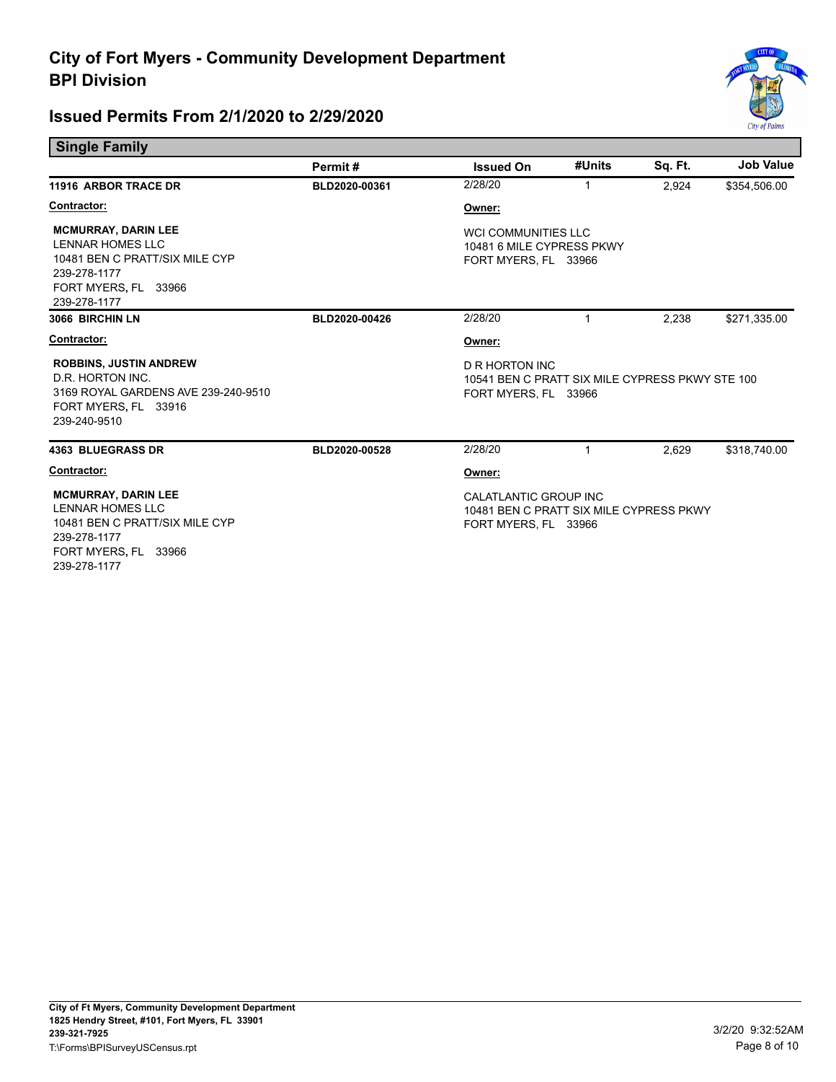

| <b>Single Family</b>                                                                                                                            |               |                                                                                                  |        |         |                  |
|-------------------------------------------------------------------------------------------------------------------------------------------------|---------------|--------------------------------------------------------------------------------------------------|--------|---------|------------------|
|                                                                                                                                                 | Permit#       | <b>Issued On</b>                                                                                 | #Units | Sq. Ft. | <b>Job Value</b> |
| 11916 ARBOR TRACE DR                                                                                                                            | BLD2020-00361 | 2/28/20                                                                                          | 1      | 2,924   | \$354,506.00     |
| Contractor:                                                                                                                                     |               | Owner:                                                                                           |        |         |                  |
| <b>MCMURRAY, DARIN LEE</b><br><b>LENNAR HOMES LLC</b><br>10481 BEN C PRATT/SIX MILE CYP<br>239-278-1177<br>FORT MYERS, FL 33966<br>239-278-1177 |               | <b>WCI COMMUNITIES LLC</b><br>10481 6 MILE CYPRESS PKWY<br>FORT MYERS, FL 33966                  |        |         |                  |
| 3066 BIRCHIN LN                                                                                                                                 | BLD2020-00426 | 2/28/20                                                                                          | 1      | 2,238   | \$271,335.00     |
| Contractor:                                                                                                                                     |               | Owner:                                                                                           |        |         |                  |
| <b>ROBBINS, JUSTIN ANDREW</b><br>D.R. HORTON INC.<br>3169 ROYAL GARDENS AVE 239-240-9510<br>FORT MYERS, FL 33916<br>239-240-9510                |               | <b>D R HORTON INC</b><br>10541 BEN C PRATT SIX MILE CYPRESS PKWY STE 100<br>FORT MYERS, FL 33966 |        |         |                  |
| 4363 BLUEGRASS DR                                                                                                                               | BLD2020-00528 | 2/28/20                                                                                          | 1      | 2,629   | \$318,740.00     |
| Contractor:                                                                                                                                     |               | Owner:                                                                                           |        |         |                  |
| <b>MCMURRAY, DARIN LEE</b><br><b>LENNAR HOMES LLC</b><br>10481 BEN C PRATT/SIX MILE CYP<br>239-278-1177<br>FORT MYERS, FL 33966<br>239-278-1177 |               | CALATLANTIC GROUP INC<br>10481 BEN C PRATT SIX MILE CYPRESS PKWY<br>FORT MYERS, FL 33966         |        |         |                  |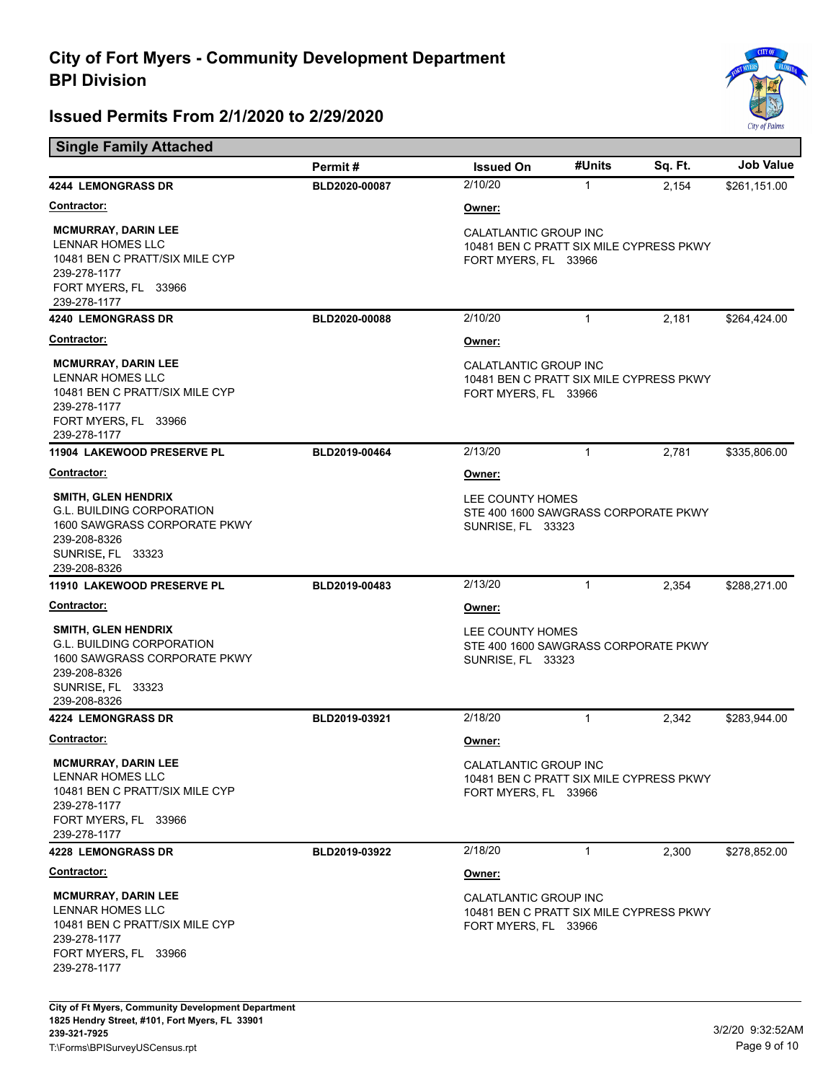

| <b>Single Family Attached</b>                                                                                                                       |               |                                                                                          |              |         |                  |
|-----------------------------------------------------------------------------------------------------------------------------------------------------|---------------|------------------------------------------------------------------------------------------|--------------|---------|------------------|
|                                                                                                                                                     | Permit#       | <b>Issued On</b>                                                                         | #Units       | Sq. Ft. | <b>Job Value</b> |
| <b>4244 LEMONGRASS DR</b>                                                                                                                           | BLD2020-00087 | 2/10/20                                                                                  | 1            | 2,154   | \$261,151.00     |
| <b>Contractor:</b>                                                                                                                                  |               | Owner:                                                                                   |              |         |                  |
| <b>MCMURRAY, DARIN LEE</b><br>LENNAR HOMES LLC<br>10481 BEN C PRATT/SIX MILE CYP<br>239-278-1177<br>FORT MYERS, FL 33966<br>239-278-1177            |               | CALATLANTIC GROUP INC<br>10481 BEN C PRATT SIX MILE CYPRESS PKWY<br>FORT MYERS, FL 33966 |              |         |                  |
| <b>4240 LEMONGRASS DR</b>                                                                                                                           | BLD2020-00088 | 2/10/20                                                                                  | $\mathbf{1}$ | 2,181   | \$264,424.00     |
| Contractor:                                                                                                                                         |               | Owner:                                                                                   |              |         |                  |
| <b>MCMURRAY, DARIN LEE</b><br><b>LENNAR HOMES LLC</b><br>10481 BEN C PRATT/SIX MILE CYP<br>239-278-1177<br>FORT MYERS, FL 33966<br>239-278-1177     |               | CALATLANTIC GROUP INC<br>10481 BEN C PRATT SIX MILE CYPRESS PKWY<br>FORT MYERS, FL 33966 |              |         |                  |
| <b>11904 LAKEWOOD PRESERVE PL</b>                                                                                                                   | BLD2019-00464 | 2/13/20                                                                                  | $\mathbf{1}$ | 2,781   | \$335,806.00     |
| <b>Contractor:</b>                                                                                                                                  |               | Owner:                                                                                   |              |         |                  |
| <b>SMITH, GLEN HENDRIX</b><br><b>G.L. BUILDING CORPORATION</b><br>1600 SAWGRASS CORPORATE PKWY<br>239-208-8326<br>SUNRISE, FL 33323<br>239-208-8326 |               | LEE COUNTY HOMES<br>STE 400 1600 SAWGRASS CORPORATE PKWY<br><b>SUNRISE, FL 33323</b>     |              |         |                  |
| 11910 LAKEWOOD PRESERVE PL                                                                                                                          | BLD2019-00483 | 2/13/20                                                                                  | $\mathbf{1}$ | 2,354   | \$288,271.00     |
| <b>Contractor:</b>                                                                                                                                  |               | Owner:                                                                                   |              |         |                  |
| <b>SMITH, GLEN HENDRIX</b><br><b>G.L. BUILDING CORPORATION</b><br>1600 SAWGRASS CORPORATE PKWY<br>239-208-8326<br>SUNRISE, FL 33323<br>239-208-8326 |               | LEE COUNTY HOMES<br>STE 400 1600 SAWGRASS CORPORATE PKWY<br>SUNRISE, FL 33323            |              |         |                  |
| <b>4224 LEMONGRASS DR</b>                                                                                                                           | BLD2019-03921 | 2/18/20                                                                                  | 1            | 2,342   | \$283,944.00     |
| <b>Contractor:</b>                                                                                                                                  |               | Owner:                                                                                   |              |         |                  |
| <b>MCMURRAY, DARIN LEE</b><br><b>LENNAR HOMES LLC</b><br>10481 BEN C PRATT/SIX MILE CYP<br>239-278-1177<br>FORT MYERS, FL 33966<br>239-278-1177     |               | CALATLANTIC GROUP INC<br>10481 BEN C PRATT SIX MILE CYPRESS PKWY<br>FORT MYERS, FL 33966 |              |         |                  |
| <b>4228 LEMONGRASS DR</b>                                                                                                                           | BLD2019-03922 | 2/18/20                                                                                  | $\mathbf{1}$ | 2,300   | \$278,852.00     |
| <u>Contractor:</u>                                                                                                                                  |               | Owner:                                                                                   |              |         |                  |
| <b>MCMURRAY, DARIN LEE</b><br>LENNAR HOMES LLC<br>10481 BEN C PRATT/SIX MILE CYP<br>239-278-1177<br>FORT MYERS, FL 33966<br>239-278-1177            |               | CALATLANTIC GROUP INC<br>10481 BEN C PRATT SIX MILE CYPRESS PKWY<br>FORT MYERS, FL 33966 |              |         |                  |